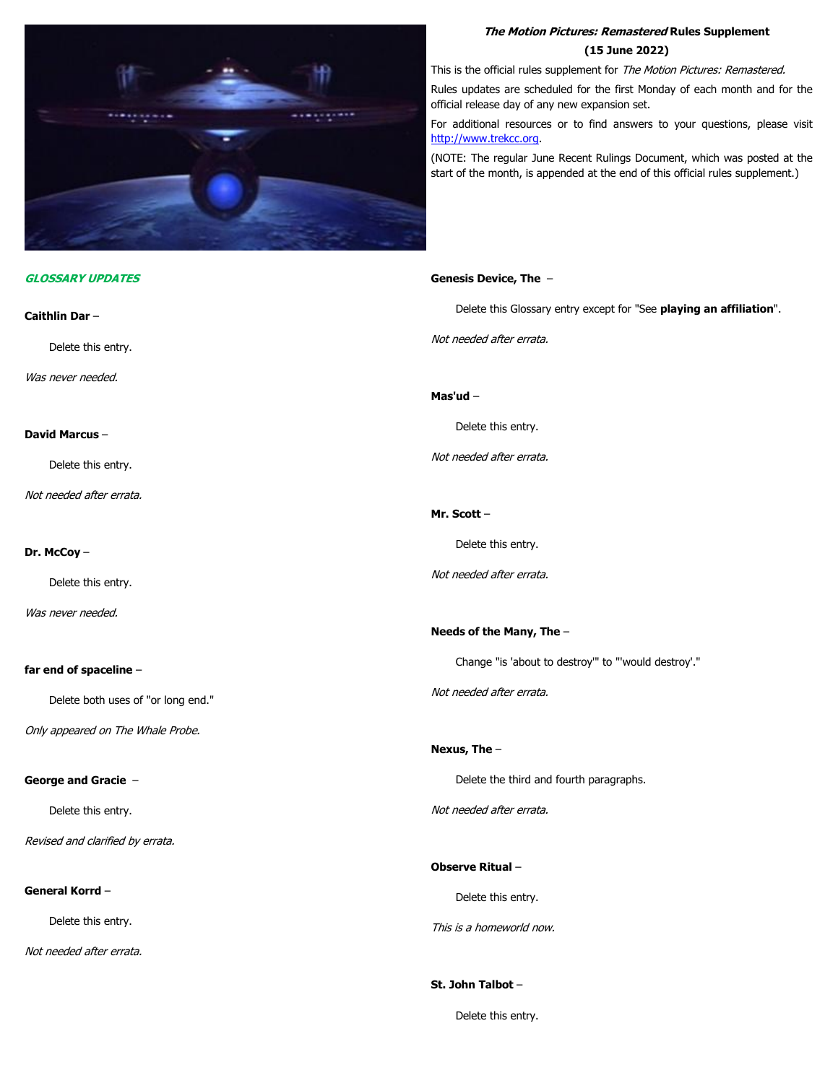

#### **GLOSSARY UPDATES**

# **Caithlin Dar** – Delete this entry. Was never needed. **David Marcus** – Delete this entry. Not needed after errata. **Dr. McCoy** – Delete this entry. Was never needed. **far end of spaceline** – Delete both uses of "or long end." Only appeared on The Whale Probe. **George and Gracie** – Delete this entry. Revised and clarified by errata. **General Korrd** – Delete this entry. Not needed after errata. Not needed after errata. **Mas'ud** – Delete this entry. Not needed after errata. **Mr. Scott** – Delete this entry. Not needed after errata. **Needs of the Many, The** – Not needed after errata. **Nexus, The** – Not needed after errata. **Observe Ritual** – Delete this entry. This is a homeworld now. **St. John Talbot** –

# **The Motion Pictures: Remastered Rules Supplement (15 June 2022)**

This is the official rules supplement for The Motion Pictures: Remastered.

Rules updates are scheduled for the first Monday of each month and for the official release day of any new expansion set.

For additional resources or to find answers to your questions, please visit [http://www.trekcc.org.](http://www.trekcc.org/)

(NOTE: The regular June Recent Rulings Document, which was posted at the start of the month, is appended at the end of this official rules supplement.)

# **Genesis Device, The** –

Delete this Glossary entry except for "See **playing an affiliation**".

Change "is 'about to destroy'" to "'would destroy'."

Delete the third and fourth paragraphs.

Delete this entry.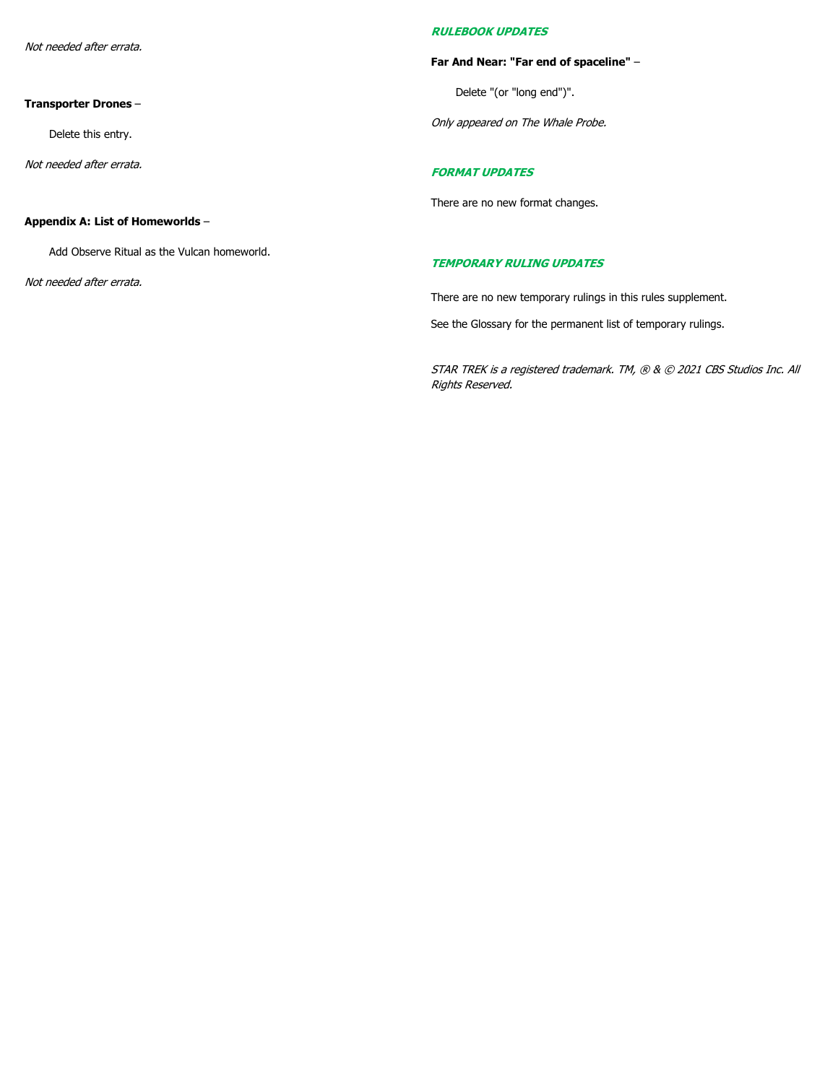Not needed after errata.

#### **Transporter Drones** –

Delete this entry.

Not needed after errata.

# **Appendix A: List of Homeworlds** –

Add Observe Ritual as the Vulcan homeworld.

Not needed after errata.

# **RULEBOOK UPDATES**

#### **Far And Near: "Far end of spaceline"** –

Delete "(or "long end")".

Only appeared on The Whale Probe.

## **FORMAT UPDATES**

There are no new format changes.

#### **TEMPORARY RULING UPDATES**

There are no new temporary rulings in this rules supplement.

See the Glossary for the permanent list of temporary rulings.

STAR TREK is a registered trademark. TM, ® & © 2021 CBS Studios Inc. All Rights Reserved.